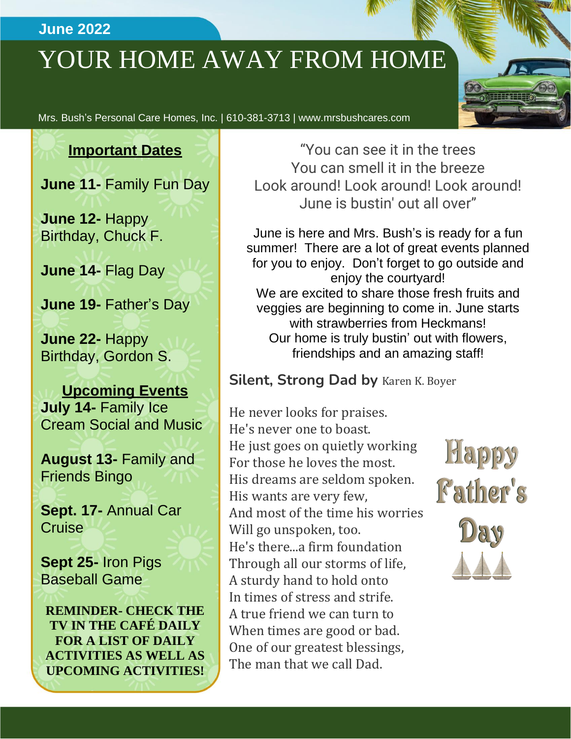### **June 2022**

# YOUR HOME AWAY FROM HOME



Mrs. Bush's Personal Care Homes, Inc. | 610-381-3713 | www.mrsbushcares.com

### **Important Dates**

**June 11-** Family Fun Day

**June 12-** Happy Birthday, Chuck F.

**June 14-** Flag Day

**June 19-** Father's Day

**June 22-** Happy Birthday, Gordon S.

**Upcoming Events July 14-** Family Ice Cream Social and Music

**August 13-** Family and Friends Bingo

**Sept. 17-** Annual Car **Cruise** 

**Sept 25-** Iron Pigs Baseball Game

**REMINDER- CHECK THE TV IN THE CAFÉ DAILY FOR A LIST OF DAILY ACTIVITIES AS WELL AS UPCOMING ACTIVITIES!**

"You can see it in the trees You can smell it in the breeze Look around! Look around! Look around! June is bustin' out all over"

June is here and Mrs. Bush's is ready for a fun summer! There are a lot of great events planned for you to enjoy. Don't forget to go outside and enjoy the courtyard! We are excited to share those fresh fruits and veggies are beginning to come in. June starts with strawberries from Heckmans! Our home is truly bustin' out with flowers, friendships and an amazing staff!

### **Silent, Strong Dad by** Karen K. Boyer

He never looks for praises. He's never one to boast. He just goes on quietly working For those he loves the most. His dreams are seldom spoken. His wants are very few, And most of the time his worries Will go unspoken, too. He's there...a firm foundation Through all our storms of life, A sturdy hand to hold onto In times of stress and strife. A true friend we can turn to When times are good or bad. One of our greatest blessings, The man that we call Dad.

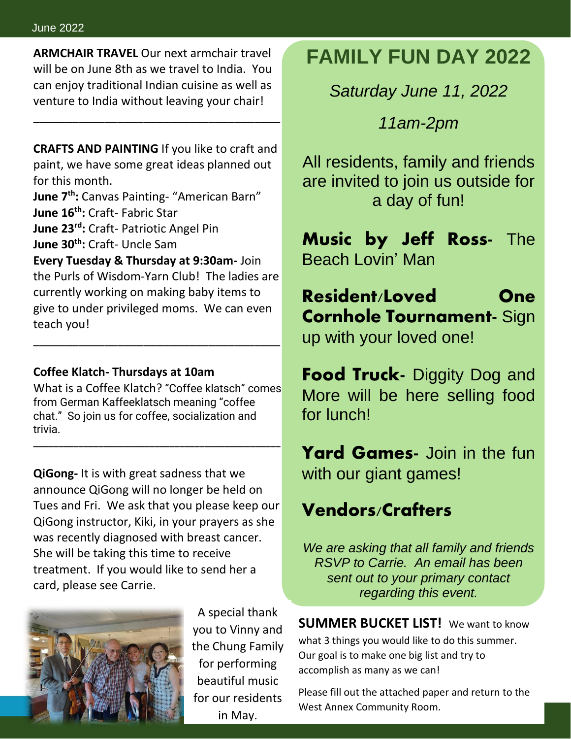**ARMCHAIR TRAVEL** Our next armchair travel will be on June 8th as we travel to India. You can enjoy traditional Indian cuisine as well as venture to India without leaving your chair!

**CRAFTS AND PAINTING** If you like to craft and paint, we have some great ideas planned out for this month.

\_\_\_\_\_\_\_\_\_\_\_\_\_\_\_\_\_\_\_\_\_\_\_\_\_\_\_\_\_\_\_\_\_\_\_\_\_\_

**June 7th:** Canvas Painting- "American Barn" **June 16th:** Craft- Fabric Star

**June 23rd:** Craft- Patriotic Angel Pin

**June 30th:** Craft- Uncle Sam

**Every Tuesday & Thursday at 9:30am-** Join the Purls of Wisdom-Yarn Club! The ladies are currently working on making baby items to give to under privileged moms. We can even teach you!

\_\_\_\_\_\_\_\_\_\_\_\_\_\_\_\_\_\_\_\_\_\_\_\_\_\_\_\_\_\_\_\_\_\_\_\_\_\_

#### **Coffee Klatch- Thursdays at 10am**

What is a Coffee Klatch? "Coffee klatsch" comes from German Kaffeeklatsch meaning "coffee chat." So join us for coffee, socialization and trivia.

\_\_\_\_\_\_\_\_\_\_\_\_\_\_\_\_\_\_\_\_\_\_\_\_\_\_\_\_\_\_\_\_\_\_\_\_\_\_\_\_\_\_\_\_\_\_\_\_\_

**QiGong-** It is with great sadness that we announce QiGong will no longer be held on Tues and Fri. We ask that you please keep our QiGong instructor, Kiki, in your prayers as she was recently diagnosed with breast cancer. She will be taking this time to receive treatment. If you would like to send her a card, please see Carrie.



A special thank you to Vinny and the Chung Family for performing beautiful music for our residents in May.

## **FAMILY FUN DAY 2022**

*Saturday June 11, 2022*

*11am-2pm*

All residents, family and friends are invited to join us outside for a day of fun!

**Music by Jeff Ross**- The Beach Lovin' Man

**Resident/Loved One Cornhole Tournament-** Sign up with your loved one!

**Food Truck-** Diggity Dog and More will be here selling food for lunch!

**Yard Games-** Join in the fun with our giant games!

### **Vendors/Crafters**

*We are asking that all family and friends RSVP to Carrie. An email has been sent out to your primary contact regarding this event.*

**SUMMER BUCKET LIST!** We want to know what 3 things you would like to do this summer. Our goal is to make one big list and try to accomplish as many as we can!

Please fill out the attached paper and return to the West Annex Community Room.